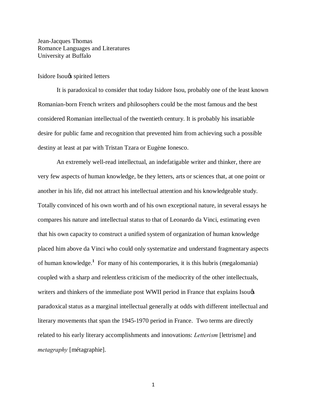Jean-Jacques Thomas Romance Languages and Literatures University at Buffalo

### Isidore Isou's spirited letters

It is paradoxical to consider that today Isidore Isou, probably one of the least known Romanian-born French writers and philosophers could be the most famous and the best considered Romanian intellectual of the twentieth century. It is probably his insatiable desire for public fame and recognition that prevented him from achieving such a possible destiny at least at par with Tristan Tzara or Eugène Ionesco.

An extremely well-read intellectual, an indefatigable writer and thinker, there are very few aspects of human knowledge, be they letters, arts or sciences that, at one point or another in his life, did not attract his intellectual attention and his knowledgeable study. Totally convinced of his own worth and of his own exceptional nature, in several essays he compares his nature and intellectual status to that of Leonardo da Vinci, estimating even that his own capacity to construct a unified system of organization of human knowledge placed him above da Vinci who could only systematize and understand fragmentary aspects of human knowledge.**<sup>1</sup>** For many of his contemporaries, it is this hubris (megalomania) coupled with a sharp and relentless criticism of the mediocrity of the other intellectuals, writers and thinkers of the immediate post WWII period in France that explains Isou $\&$ paradoxical status as a marginal intellectual generally at odds with different intellectual and literary movements that span the 1945-1970 period in France. Two terms are directly related to his early literary accomplishments and innovations: *Letterism* [lettrisme] and *metagraphy* [métagraphie].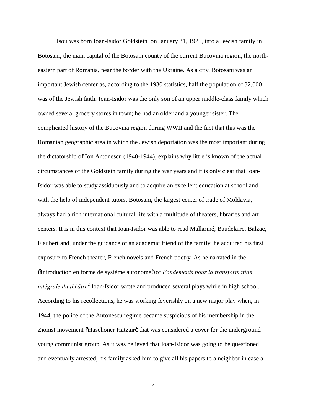Isou was born Ioan-Isidor Goldstein on January 31, 1925, into a Jewish family in Botosani, the main capital of the Botosani county of the current Bucovina region, the northeastern part of Romania, near the border with the Ukraine. As a city, Botosani was an important Jewish center as, according to the 1930 statistics, half the population of 32,000 was of the Jewish faith. Ioan-Isidor was the only son of an upper middle-class family which owned several grocery stores in town; he had an older and a younger sister. The complicated history of the Bucovina region during WWII and the fact that this was the Romanian geographic area in which the Jewish deportation was the most important during the dictatorship of Ion Antonescu (1940-1944), explains why little is known of the actual circumstances of the Goldstein family during the war years and it is only clear that Ioan-Isidor was able to study assiduously and to acquire an excellent education at school and with the help of independent tutors. Botosani, the largest center of trade of Moldavia, always had a rich international cultural life with a multitude of theaters, libraries and art centers. It is in this context that Ioan-Isidor was able to read Mallarmé, Baudelaire, Balzac, Flaubert and, under the guidance of an academic friend of the family, he acquired his first exposure to French theater, French novels and French poetry. As he narrated in the  $I$  introduction en forme de système autonome of *Fondements pour la transformation intégrale du théâtre*<sup>2</sup> Ioan-Isidor wrote and produced several plays while in high school. According to his recollections, he was working feverishly on a new major play when, in 1944, the police of the Antonescu regime became suspicious of his membership in the Zionist movement  $\delta$ Haschoner Hatzairö that was considered a cover for the underground young communist group. As it was believed that Ioan-Isidor was going to be questioned and eventually arrested, his family asked him to give all his papers to a neighbor in case a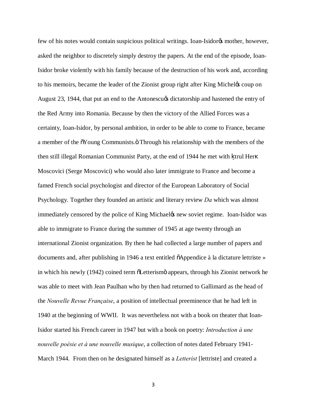few of his notes would contain suspicious political writings. Ioan-Isidor<sub>of</sub> mother, however, asked the neighbor to discretely simply destroy the papers. At the end of the episode, Ioan-Isidor broke violently with his family because of the destruction of his work and, according to his memoirs, became the leader of the Zionist group right after King Michel's coup on August 23, 1944, that put an end to the Antonescu $\alpha$  dictatorship and hastened the entry of the Red Army into Romania. Because by then the victory of the Allied Forces was a certainty, Ioan-Isidor, by personal ambition, in order to be able to come to France, became a member of the  $\delta$ Young Communists. $\ddot{o}$  Through his relationship with the members of the then still illegal Romanian Communist Party, at the end of 1944 he met with trul Her Moscovici (Serge Moscovici) who would also later immigrate to France and become a famed French social psychologist and director of the European Laboratory of Social Psychology. Together they founded an artistic and literary review *Da* which was almost immediately censored by the police of King Michael the west soviet regime. Ioan-Isidor was able to immigrate to France during the summer of 1945 at age twenty through an international Zionist organization. By then he had collected a large number of papers and documents and, after publishing in 1946 a text entitled  $\delta$ Appendice à la dictature lettriste » in which his newly (1942) coined term  $\tilde{o}$ Letterism $\tilde{o}$  appears, through his Zionist network he was able to meet with Jean Paulhan who by then had returned to Gallimard as the head of the *Nouvelle Revue Française*, a position of intellectual preeminence that he had left in 1940 at the beginning of WWII. It was nevertheless not with a book on theater that Ioan-Isidor started his French career in 1947 but with a book on poetry: *Introduction à une nouvelle poésie et à une nouvelle musique*, a collection of notes dated February 1941- March 1944. From then on he designated himself as a *Letterist* [lettriste] and created a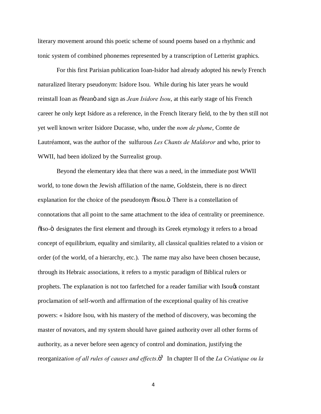literary movement around this poetic scheme of sound poems based on a rhythmic and tonic system of combined phonemes represented by a transcription of Letterist graphics.

For this first Parisian publication Ioan-Isidor had already adopted his newly French naturalized literary pseudonym: Isidore Isou. While during his later years he would reinstall Ioan as  $\delta$ Ieano and sign as *Jean Isidore Isou*, at this early stage of his French career he only kept Isidore as a reference, in the French literary field, to the by then still not yet well known writer Isidore Ducasse, who, under the *nom de plume*, Comte de Lautréamont, was the author of the sulfurous *Les Chants de Maldoror* and who, prior to WWII, had been idolized by the Surrealist group.

Beyond the elementary idea that there was a need, in the immediate post WWII world, to tone down the Jewish affiliation of the name, Goldstein, there is no direct explanation for the choice of the pseudonym  $\delta$ Isou. $\delta$  There is a constellation of connotations that all point to the same attachment to the idea of centrality or preeminence.  $\delta$ Iso- $\ddot{o}$  designates the first element and through its Greek etymology it refers to a broad concept of equilibrium, equality and similarity, all classical qualities related to a vision or order (of the world, of a hierarchy, etc.). The name may also have been chosen because, through its Hebraic associations, it refers to a mystic paradigm of Biblical rulers or prophets. The explanation is not too farfetched for a reader familiar with Isou's constant proclamation of self-worth and affirmation of the exceptional quality of his creative powers: « Isidore Isou, with his mastery of the method of discovery, was becoming the master of novators, and my system should have gained authority over all other forms of authority, as a never before seen agency of control and domination, justifying the reorganization of all rules of causes and effects.<sup>33</sup> In chapter II of the *La Créatique ou la*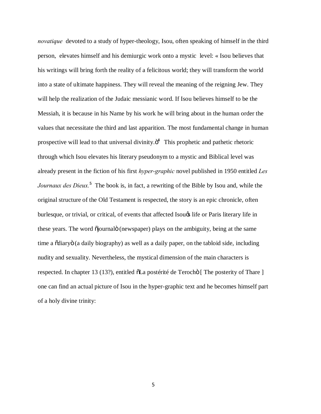*novatique* devoted to a study of hyper-theology, Isou, often speaking of himself in the third person, elevates himself and his demiurgic work onto a mystic level: « Isou believes that his writings will bring forth the reality of a felicitous world; they will transform the world into a state of ultimate happiness. They will reveal the meaning of the reigning Jew. They will help the realization of the Judaic messianic word. If Isou believes himself to be the Messiah, it is because in his Name by his work he will bring about in the human order the values that necessitate the third and last apparition. The most fundamental change in human prospective will lead to that universal divinity. $\ddot{o}^4$  This prophetic and pathetic rhetoric through which Isou elevates his literary pseudonym to a mystic and Biblical level was already present in the fiction of his first *hyper-graphic* novel published in 1950 entitled *Les Journaux des Dieux.***<sup>5</sup>** The book is, in fact, a rewriting of the Bible by Isou and, while the original structure of the Old Testament is respected, the story is an epic chronicle, often burlesque, or trivial, or critical, of events that affected Isou $\alpha$  life or Paris literary life in these years. The word  $\ddot{\rm o}$  journal  $\ddot{\rm o}$  (newspaper) plays on the ambiguity, being at the same time a  $\delta$ diary $\delta$  (a daily biography) as well as a daily paper, on the tabloid side, including nudity and sexuality. Nevertheless, the mystical dimension of the main characters is respected. In chapter 13 (13?), entitled  $\delta$ La postérité de Terocho [ The posterity of Thare ] one can find an actual picture of Isou in the hyper-graphic text and he becomes himself part of a holy divine trinity: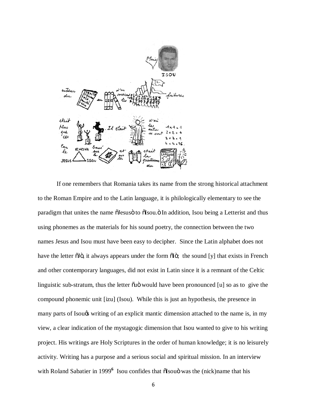

If one remembers that Romania takes its name from the strong historical attachment to the Roman Empire and to the Latin language, it is philologically elementary to see the paradigm that unites the name  $\tilde{o}$ Iesus $\tilde{o}$  to  $\tilde{o}$ Isou. $\tilde{o}$  In addition, Isou being a Letterist and thus using phonemes as the materials for his sound poetry, the connection between the two names Jesus and Isou must have been easy to decipher. Since the Latin alphabet does not have the letter  $\tilde{d}\tilde{d}$ , it always appears under the form  $\tilde{d}\tilde{d}$ ; the sound [y] that exists in French and other contemporary languages, did not exist in Latin since it is a remnant of the Celtic linguistic sub-stratum, thus the letter  $\tilde{\text{ou}}$  would have been pronounced [u] so as to give the compound phonemic unit [izu] (Isou). While this is just an hypothesis, the presence in many parts of Isou $\&$  writing of an explicit mantic dimension attached to the name is, in my view, a clear indication of the mystagogic dimension that Isou wanted to give to his writing project. His writings are Holy Scriptures in the order of human knowledge; it is no leisurely activity. Writing has a purpose and a serious social and spiritual mission. In an interview with Roland Sabatier in 1999<sup>6</sup> Isou confides that  $\tilde{\text{S}}$ Isouö was the (nick)name that his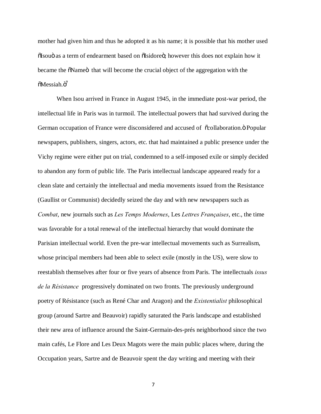mother had given him and thus he adopted it as his name; it is possible that his mother used  $\delta$ Isouö as a term of endearment based on  $\delta$ Isidore $\delta$ ; however this does not explain how it became the  $\delta$ Name $\delta$  that will become the crucial object of the aggregation with the õMessiah.ö<sup>7</sup>

When Isou arrived in France in August 1945, in the immediate post-war period, the intellectual life in Paris was in turmoil. The intellectual powers that had survived during the German occupation of France were disconsidered and accused of  $\ddot{\alpha}$  collaboration.  $\ddot{\text{o}}$  Popular newspapers, publishers, singers, actors, etc. that had maintained a public presence under the Vichy regime were either put on trial, condemned to a self-imposed exile or simply decided to abandon any form of public life. The Paris intellectual landscape appeared ready for a clean slate and certainly the intellectual and media movements issued from the Resistance (Gaullist or Communist) decidedly seized the day and with new newspapers such as *Combat*, new journals such as *Les Temps Modernes*, Les *Lettres Françaises*, etc., the time was favorable for a total renewal of the intellectual hierarchy that would dominate the Parisian intellectual world. Even the pre-war intellectual movements such as Surrealism, whose principal members had been able to select exile (mostly in the US), were slow to reestablish themselves after four or five years of absence from Paris. The intellectuals *issus de la Résistance* progressively dominated on two fronts. The previously underground poetry of Résistance (such as René Char and Aragon) and the *Existentialist* philosophical group (around Sartre and Beauvoir) rapidly saturated the Paris landscape and established their new area of influence around the Saint-Germain-des-prés neighborhood since the two main cafés, Le Flore and Les Deux Magots were the main public places where, during the Occupation years, Sartre and de Beauvoir spent the day writing and meeting with their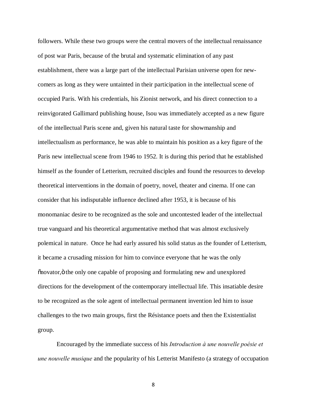followers. While these two groups were the central movers of the intellectual renaissance of post war Paris, because of the brutal and systematic elimination of any past establishment, there was a large part of the intellectual Parisian universe open for newcomers as long as they were untainted in their participation in the intellectual scene of occupied Paris. With his credentials, his Zionist network, and his direct connection to a reinvigorated Gallimard publishing house, Isou was immediately accepted as a new figure of the intellectual Paris scene and, given his natural taste for showmanship and intellectualism as performance, he was able to maintain his position as a key figure of the Paris new intellectual scene from 1946 to 1952. It is during this period that he established himself as the founder of Letterism, recruited disciples and found the resources to develop theoretical interventions in the domain of poetry, novel, theater and cinema. If one can consider that his indisputable influence declined after 1953, it is because of his monomaniac desire to be recognized as the sole and uncontested leader of the intellectual true vanguard and his theoretical argumentative method that was almost exclusively polemical in nature. Once he had early assured his solid status as the founder of Letterism, it became a crusading mission for him to convince everyone that he was the only "novator," the only one capable of proposing and formulating new and unexplored directions for the development of the contemporary intellectual life. This insatiable desire to be recognized as the sole agent of intellectual permanent invention led him to issue challenges to the two main groups, first the Résistance poets and then the Existentialist group.

Encouraged by the immediate success of his *Introduction à une nouvelle poésie et une nouvelle musique* and the popularity of his Letterist Manifesto (a strategy of occupation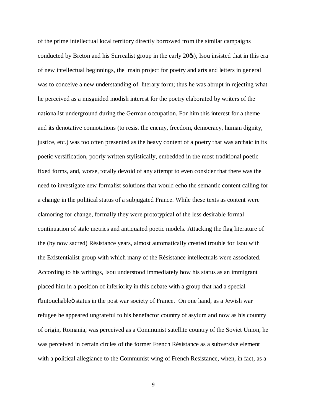of the prime intellectual local territory directly borrowed from the similar campaigns conducted by Breton and his Surrealist group in the early  $20\%$ ), Isou insisted that in this era of new intellectual beginnings, the main project for poetry and arts and letters in general was to conceive a new understanding of literary form; thus he was abrupt in rejecting what he perceived as a misguided modish interest for the poetry elaborated by writers of the nationalist underground during the German occupation. For him this interest for a theme and its denotative connotations (to resist the enemy, freedom, democracy, human dignity, justice, etc.) was too often presented as the heavy content of a poetry that was archaic in its poetic versification, poorly written stylistically, embedded in the most traditional poetic fixed forms, and, worse, totally devoid of any attempt to even consider that there was the need to investigate new formalist solutions that would echo the semantic content calling for a change in the political status of a subjugated France. While these texts as content were clamoring for change, formally they were prototypical of the less desirable formal continuation of stale metrics and antiquated poetic models. Attacking the flag literature of the (by now sacred) Résistance years, almost automatically created trouble for Isou with the Existentialist group with which many of the Résistance intellectuals were associated. According to his writings, Isou understood immediately how his status as an immigrant placed him in a position of inferiority in this debate with a group that had a special  $\ddot{\text{u}}$  cuntouchable  $\ddot{\text{u}}$  status in the post war society of France. On one hand, as a Jewish war refugee he appeared ungrateful to his benefactor country of asylum and now as his country of origin, Romania, was perceived as a Communist satellite country of the Soviet Union, he was perceived in certain circles of the former French Résistance as a subversive element with a political allegiance to the Communist wing of French Resistance, when, in fact, as a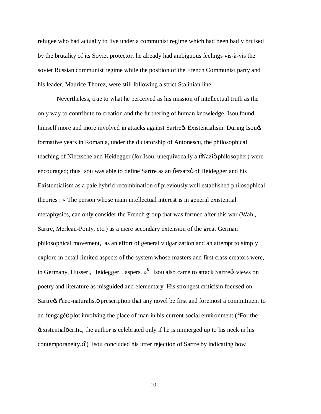refugee who had actually to live under a communist regime which had been badly bruised by the brutality of its Soviet protector, he already had ambiguous feelings vis-à-vis the soviet Russian communist regime while the position of the French Communist party and his leader, Maurice Thorez, were still following a strict Stalinian line.

Nevertheless, true to what he perceived as his mission of intellectual truth as the only way to contribute to creation and the furthering of human knowledge, Isou found himself more and more involved in attacks against Sartre $\alpha$  Existentialism. During Isou $\alpha$ formative years in Romania, under the dictatorship of Antonescu, the philosophical teaching of Nietzsche and Heidegger (for Isou, unequivocally a  $\delta$ Nazi $\delta$  philosopher) were encouraged; thus Isou was able to define Sartre as an  $\tilde{c}$  ersatz of Heidegger and his Existentialism as a pale hybrid recombination of previously well established philosophical theories : « The person whose main intellectual interest is in general existential metaphysics, can only consider the French group that was formed after this war (Wahl, Sartre, Merleau-Ponty, etc.) as a mere secondary extension of the great German philosophical movement, as an effort of general vulgarization and an attempt to simply explore in detail limited aspects of the system whose masters and first class creators were, in Germany, Husserl, Heidegger, Jaspers. »<sup>8</sup> Isou also came to attack Sartregs views on poetry and literature as misguided and elementary. His strongest criticism focused on Sartre $\alpha$  "neo-naturalisto" prescription that any novel be first and foremost a commitment to an  $\tilde{\text{c}}$ engagé plot involving the place of man in his current social environment ( $\tilde{\text{c}}$ For the Existential *g* critic, the author is celebrated only if he is immerged up to his neck in his contemporaneity.<sup>3</sup><sup>9</sup>) Isou concluded his utter rejection of Sartre by indicating how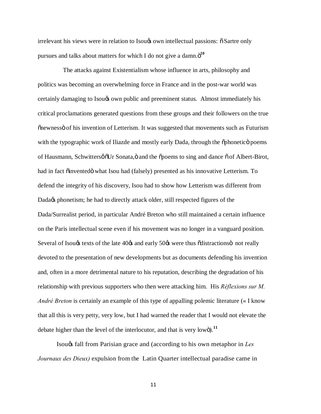irrelevant his views were in relation to Isou to own intellectual passions:  $\delta$  Sartre only pursues and talks about matters for which I do not give a damn. $\ddot{o}^{10}$ 

 The attacks against Existentialism whose influence in arts, philosophy and politics was becoming an overwhelming force in France and in the post-war world was certainly damaging to Isou $\alpha$  own public and preeminent status. Almost immediately his critical proclamations generated questions from these groups and their followers on the true  $\tilde{p}$  onewnessö of his invention of Letterism. It was suggested that movements such as Futurism with the typographic work of Iliazde and mostly early Dada, through the  $\ddot{\rm o}$ phonetic poems of Hausmann, Schwittersø  $\delta Ur$  Sonata,  $\ddot{o}$  and the  $\ddot{o}$  poems to sing and dance  $\ddot{o}$  of Albert-Birot, had in fact õinventedö what Isou had (falsely) presented as his innovative Letterism. To defend the integrity of his discovery, Isou had to show how Letterism was different from Dada $\alpha$  phonetism; he had to directly attack older, still respected figures of the Dada/Surrealist period, in particular André Breton who still maintained a certain influence on the Paris intellectual scene even if his movement was no longer in a vanguard position. Several of Isougs texts of the late 40 $\alpha$  and early 50 $\alpha$  were thus  $\alpha$  distractions not really devoted to the presentation of new developments but as documents defending his invention and, often in a more detrimental nature to his reputation, describing the degradation of his relationship with previous supporters who then were attacking him. His *Réflexions sur M. André Breton* is certainly an example of this type of appalling polemic literature (« I know that all this is very petty, very low, but I had warned the reader that I would not elevate the debate higher than the level of the interlocutor, and that is very low $\ddot{o}$ ).<sup>11</sup>

Isou's fall from Parisian grace and (according to his own metaphor in *Les Journaux des Dieux)* expulsion from the Latin Quarter intellectual paradise came in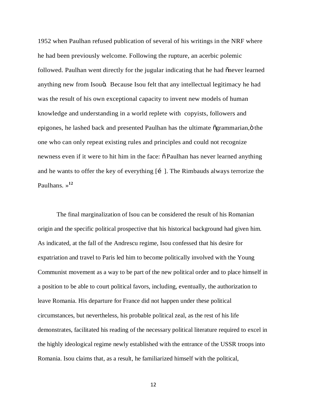1952 when Paulhan refused publication of several of his writings in the NRF where he had been previously welcome. Following the rupture, an acerbic polemic followed. Paulhan went directly for the jugular indicating that he had onever learned anything new from Isouö. Because Isou felt that any intellectual legitimacy he had was the result of his own exceptional capacity to invent new models of human knowledge and understanding in a world replete with copyists, followers and epigones, he lashed back and presented Paulhan has the ultimate  $\tilde{o}$ grammarian, $\tilde{o}$  the one who can only repeat existing rules and principles and could not recognize newness even if it were to hit him in the face:  $\delta$  Paulhan has never learned anything and he wants to offer the key of everything  $[i]$ . The Rimbauds always terrorize the Paulhans. »**<sup>12</sup>**

The final marginalization of Isou can be considered the result of his Romanian origin and the specific political prospective that his historical background had given him. As indicated, at the fall of the Andrescu regime, Isou confessed that his desire for expatriation and travel to Paris led him to become politically involved with the Young Communist movement as a way to be part of the new political order and to place himself in a position to be able to court political favors, including, eventually, the authorization to leave Romania. His departure for France did not happen under these political circumstances, but nevertheless, his probable political zeal, as the rest of his life demonstrates, facilitated his reading of the necessary political literature required to excel in the highly ideological regime newly established with the entrance of the USSR troops into Romania. Isou claims that, as a result, he familiarized himself with the political,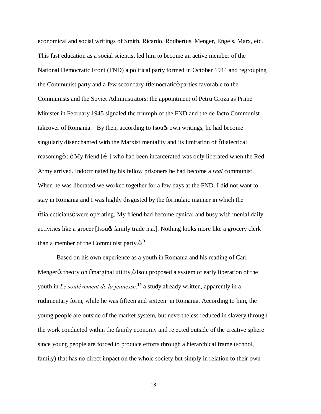economical and social writings of Smith, Ricardo, Rodbertus, Menger, Engels, Marx, etc. This fast education as a social scientist led him to become an active member of the National Democratic Front (FND) a political party formed in October 1944 and regrouping the Communist party and a few secondary  $\delta$ democratic parties favorable to the Communists and the Soviet Administrators; the appointment of Petru Groza as Prime Minister in February 1945 signaled the triumph of the FND and the de facto Communist takeover of Romania. By then, according to Isou $\alpha$  own writings, he had become singularly disenchanted with the Marxist mentality and its limitation of  $\ddot{\text{o}}$ dialectical reasoning  $\ddot{\text{o}}$  :  $\ddot{\text{o}}$  My friend  $\ddot{\text{[i]}}$  who had been incarcerated was only liberated when the Red Army arrived. Indoctrinated by his fellow prisoners he had become a *real* communist. When he was liberated we worked together for a few days at the FND. I did not want to stay in Romania and I was highly disgusted by the formulaic manner in which the  $\ddot{\text{o}}$ dialecticians $\ddot{\text{o}}$  were operating. My friend had become cynical and busy with menial daily activities like a grocer [Isou $\alpha$  family trade n.a.]. Nothing looks more like a grocery clerk than a member of the Communist party. $\ddot{o}^{13}$ 

Based on his own experience as a youth in Romania and his reading of Carl Menger% theory on õmarginal utility, ö Isou proposed a system of early liberation of the youth in *Le soulèvement de la jeunesse,***<sup>14</sup>** a study already written, apparently in a rudimentary form, while he was fifteen and sixteen in Romania. According to him, the young people are outside of the market system, but nevertheless reduced in slavery through the work conducted within the family economy and rejected outside of the creative sphere since young people are forced to produce efforts through a hierarchical frame (school, family) that has no direct impact on the whole society but simply in relation to their own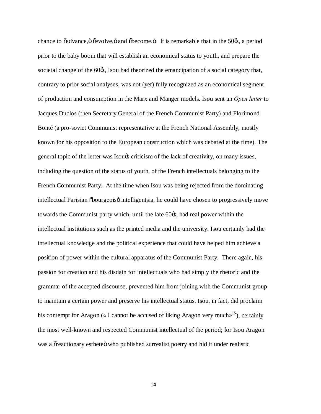chance to õadvance, ö õevolve, ö and õbecome.  $\ddot{o}$  It is remarkable that in the 50 $\alpha$ s, a period prior to the baby boom that will establish an economical status to youth, and prepare the societal change of the 60 $\alpha$ , Isou had theorized the emancipation of a social category that, contrary to prior social analyses, was not (yet) fully recognized as an economical segment of production and consumption in the Marx and Manger models. Isou sent an *Open letter* to Jacques Duclos (then Secretary General of the French Communist Party) and Florimond Bonté (a pro-soviet Communist representative at the French National Assembly, mostly known for his opposition to the European construction which was debated at the time). The general topic of the letter was Isou $\alpha$  criticism of the lack of creativity, on many issues, including the question of the status of youth, of the French intellectuals belonging to the French Communist Party. At the time when Isou was being rejected from the dominating intellectual Parisian  $\delta$ bourgeois $\delta$  intelligentsia, he could have chosen to progressively move towards the Communist party which, until the late 60 $\alpha$ , had real power within the intellectual institutions such as the printed media and the university. Isou certainly had the intellectual knowledge and the political experience that could have helped him achieve a position of power within the cultural apparatus of the Communist Party. There again, his passion for creation and his disdain for intellectuals who had simply the rhetoric and the grammar of the accepted discourse, prevented him from joining with the Communist group to maintain a certain power and preserve his intellectual status. Isou, in fact, did proclaim his contempt for Aragon (« I cannot be accused of liking Aragon very much»**<sup>15</sup>**), certainly the most well-known and respected Communist intellectual of the period; for Isou Aragon was a  $\tilde{\text{or}}$  exterionary estheted who published surrealist poetry and hid it under realistic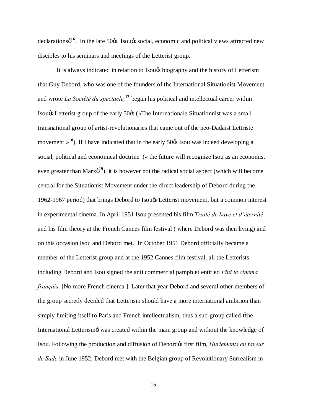declarationsö<sup>16</sup>. In the late 50 $\alpha$ , Isou $\alpha$  social, economic and political views attracted new disciples to his seminars and meetings of the Letterist group.

It is always indicated in relation to Isou $\alpha$  biography and the history of Letterism that Guy Debord, who was one of the founders of the International Situationist Movement and wrote *La Société du spectacle,***<sup>17</sup>**began his political and intellectual career within Isougs Letterist group of the early 50 $\alpha$  («The Internationale Situationnist was a small transnational group of artist-revolutionaries that came out of the neo-Dadaist Lettriste movement  $\frac{18}{3}$ . If I have indicated that in the early 50 $\alpha$  Isou was indeed developing a social, political and economical doctrine (« the future will recognize Isou as an economist even greater than Marxo<sup>19</sup>), it is however not the radical social aspect (which will become central for the Situationist Movement under the direct leadership of Debord during the 1962-1967 period) that brings Debord to Isou's Letterist movement, but a common interest in experimental cinema. In April 1951 Isou presented his film *Traité de bave et d'éternité* and his film theory at the French Cannes film festival ( where Debord was then living) and on this occasion Isou and Debord met. In October 1951 Debord officially became a member of the Letterist group and at the 1952 Cannes film festival, all the Letterists including Debord and Isou signed the anti commercial pamphlet entitled *Fini le cinéma français* [No more French cinema ]. Later that year Debord and several other members of the group secretly decided that Letterism should have a more international ambition than simply limiting itself to Paris and French intellectualism, thus a sub-group called othe International Letterismo was created within the main group and without the knowledge of Isou. Following the production and diffusion of Debord $\alpha$  first film, *Hurlements en faveur de Sade* in June 1952, Debord met with the Belgian group of Revolutionary Surrealism in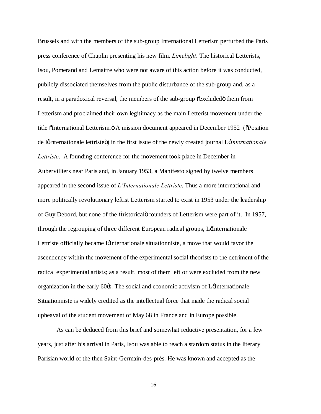Brussels and with the members of the sub-group International Letterism perturbed the Paris press conference of Chaplin presenting his new film, *Limelight*. The historical Letterists, Isou, Pomerand and Lemaitre who were not aware of this action before it was conducted, publicly dissociated themselves from the public disturbance of the sub-group and, as a result, in a paradoxical reversal, the members of the sub-group  $\tilde{\text{c}}$  excluded them from Letterism and proclaimed their own legitimacy as the main Letterist movement under the title õInternational Letterism.  $\ddot{o}$  A mission document appeared in December 1952 ( $\ddot{o}$ Position de l'Internationale lettriste") in the first issue of the newly created journal L'*Internationale Lettriste*. A founding conference for the movement took place in December in Aubervilliers near Paris and, in January 1953, a Manifesto signed by twelve members appeared in the second issue of *L'Internationale Lettriste*. Thus a more international and more politically revolutionary leftist Letterism started to exist in 1953 under the leadership of Guy Debord, but none of the  $\delta$ historical $\delta$  founders of Letterism were part of it. In 1957, through the regrouping of three different European radical groups, Let the reasonale Lettriste officially became let internationale situationniste, a move that would favor the ascendency within the movement of the experimental social theorists to the detriment of the radical experimental artists; as a result, most of them left or were excluded from the new organization in the early  $60\%$ . The social and economic activism of L $\Delta$ Internationale Situationniste is widely credited as the intellectual force that made the radical social upheaval of the student movement of May 68 in France and in Europe possible.

As can be deduced from this brief and somewhat reductive presentation, for a few years, just after his arrival in Paris, Isou was able to reach a stardom status in the literary Parisian world of the then Saint-Germain-des-prés. He was known and accepted as the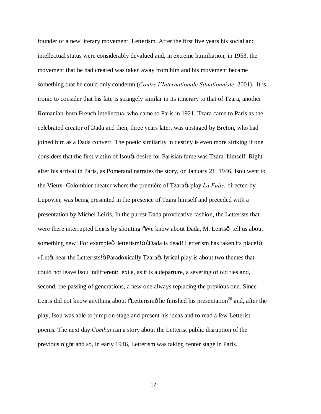founder of a new literary movement, Letterism. After the first five years his social and intellectual status were considerably devalued and, in extreme humiliation, in 1953, the movement that he had created was taken away from him and his movement became something that he could only condemn (*Contre l'Internationale Situationniste*, 2001). It is ironic to consider that his fate is strangely similar in its itinerary to that of Tzara, another Romanian-born French intellectual who came to Paris in 1921. Tzara came to Paris as the celebrated creator of Dada and then, three years later, was upstaged by Breton, who had joined him as a Dada convert. The poetic similarity in destiny is even more striking if one considers that the first victim of Isou $\alpha$  desire for Parisian fame was Tzara himself. Right after his arrival in Paris, as Pomerand narrates the story, on January 21, 1946, Isou went to the Vieux- Colombier theater where the première of Tzara's play *La Fuite,* directed by Lupovici, was being presented in the presence of Tzara himself and preceded with a presentation by Michel Leiris. In the purest Dada provocative fashion, the Letterists that were there interrupted Leiris by shouting  $\delta$ We know about Dada, M. Leiris $\delta$  tell us about something new! For exampleô letterism! " "Dada is dead! Letterism has taken its place!" «Let the Letterists bear the Letterists! " Paradoxically Tzara is a lyrical play is about two themes that could not leave Isou indifferent: exile, as it is a departure, a severing of old ties and, second, the passing of generations, a new one always replacing the previous one. Since Leiris did not know anything about  $\delta$ Letterism $\ddot{o}$  he finished his presentation<sup>20</sup> and, after the play, Isou was able to jump on stage and present his ideas and to read a few Letterist poems. The next day *Combat* ran a story about the Letterist public disruption of the previous night and so, in early 1946, Letterism was taking center stage in Paris.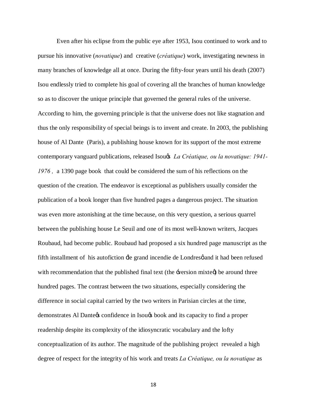Even after his eclipse from the public eye after 1953, Isou continued to work and to pursue his innovative (*novatique*) and creative (*créatique*) work, investigating newness in many branches of knowledge all at once. During the fifty-four years until his death (2007) Isou endlessly tried to complete his goal of covering all the branches of human knowledge so as to discover the unique principle that governed the general rules of the universe. According to him, the governing principle is that the universe does not like stagnation and thus the only responsibility of special beings is to invent and create. In 2003, the publishing house of Al Dante (Paris), a publishing house known for its support of the most extreme contemporary vanguard publications, released Isou's *La Créatique, ou la novatique: 1941- 1976 ,* a 1390 page book that could be considered the sum of his reflections on the question of the creation. The endeavor is exceptional as publishers usually consider the publication of a book longer than five hundred pages a dangerous project. The situation was even more astonishing at the time because, on this very question, a serious quarrel between the publishing house Le Seuil and one of its most well-known writers, Jacques Roubaud, had become public. Roubaud had proposed a six hundred page manuscript as the fifth installment of his autofiction  $\pm$ e grand incendie de Londresø and it had been refused with recommendation that the published final text (the  $\exists$ version mixte $\emptyset$ ) be around three hundred pages. The contrast between the two situations, especially considering the difference in social capital carried by the two writers in Parisian circles at the time, demonstrates Al Dante to confidence in Isou to book and its capacity to find a proper readership despite its complexity of the idiosyncratic vocabulary and the lofty conceptualization of its author. The magnitude of the publishing project revealed a high degree of respect for the integrity of his work and treats *La Créatique, ou la novatique* as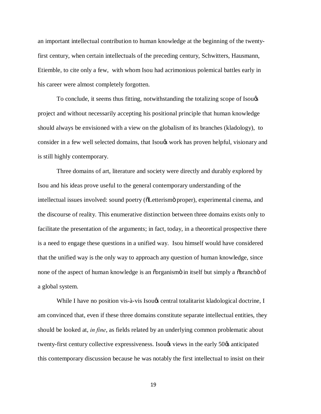an important intellectual contribution to human knowledge at the beginning of the twentyfirst century, when certain intellectuals of the preceding century, Schwitters, Hausmann, Etiemble, to cite only a few, with whom Isou had acrimonious polemical battles early in his career were almost completely forgotten.

To conclude, it seems thus fitting, notwithstanding the totalizing scope of Isou's project and without necessarily accepting his positional principle that human knowledge should always be envisioned with a view on the globalism of its branches (kladology), to consider in a few well selected domains, that Isou that has proven helpful, visionary and is still highly contemporary.

Three domains of art, literature and society were directly and durably explored by Isou and his ideas prove useful to the general contemporary understanding of the intellectual issues involved: sound poetry ( $\delta$ Letterism $\ddot{\sigma}$  proper), experimental cinema, and the discourse of reality. This enumerative distinction between three domains exists only to facilitate the presentation of the arguments; in fact, today, in a theoretical prospective there is a need to engage these questions in a unified way. Isou himself would have considered that the unified way is the only way to approach any question of human knowledge, since none of the aspect of human knowledge is an osarganism in itself but simply a obrancho of a global system.

While I have no position vis-à-vis Isou $\alpha$  central totalitarist kladological doctrine, I am convinced that, even if these three domains constitute separate intellectual entities, they should be looked at, *in fine*, as fields related by an underlying common problematic about twenty-first century collective expressiveness. Isougs views in the early 50 $\alpha$  anticipated this contemporary discussion because he was notably the first intellectual to insist on their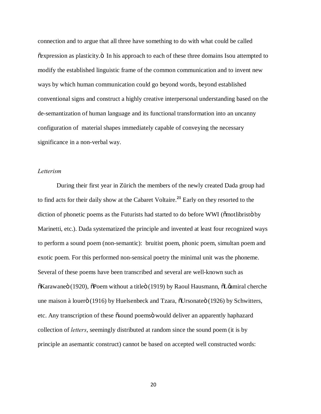connection and to argue that all three have something to do with what could be called  $\tilde{\text{c}}$  expression as plasticity. $\ddot{\text{o}}$  In his approach to each of these three domains Isou attempted to modify the established linguistic frame of the common communication and to invent new ways by which human communication could go beyond words, beyond established conventional signs and construct a highly creative interpersonal understanding based on the de-semantization of human language and its functional transformation into an uncanny configuration of material shapes immediately capable of conveying the necessary significance in a non-verbal way.

## *Letterism*

During their first year in Zürich the members of the newly created Dada group had to find acts for their daily show at the Cabaret Voltaire.**<sup>21</sup>** Early on they resorted to the diction of phonetic poems as the Futurists had started to do before WWI ( $\ddot{\text{om}}$ otlibristo by Marinetti, etc.). Dada systematized the principle and invented at least four recognized ways to perform a sound poem (non-semantic): bruitist poem, phonic poem, simultan poem and exotic poem. For this performed non-sensical poetry the minimal unit was the phoneme. Several of these poems have been transcribed and several are well-known such as  $\delta$ Karawaneö (1920),  $\delta$ Poem without a title $\delta$  (1919) by Raoul Hausmann,  $\delta$ L $\delta$ miral cherche une maison à louerö (1916) by Huelsenbeck and Tzara,  $\tilde{\text{O}}$ Ursonateö (1926) by Schwitters, etc. Any transcription of these  $\tilde{\text{c}}$ sound poems would deliver an apparently haphazard collection of *letters*, seemingly distributed at random since the sound poem (it is by principle an asemantic construct) cannot be based on accepted well constructed words: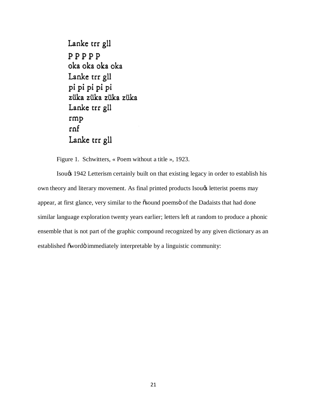```
Lanke trr gll
PPPPPoka oka oka oka
Lanke trr gll
pi pi pi pi pi
züka züka züka züka
Lanke trr gll
rmp
rnf
Lanke trr gll
```
Figure 1. Schwitters, « Poem without a title », 1923.

Isou's 1942 Letterism certainly built on that existing legacy in order to establish his own theory and literary movement. As final printed products Isou $\alpha$  letterist poems may appear, at first glance, very similar to the  $\tilde{\text{osound}}$  poems of the Dadaists that had done similar language exploration twenty years earlier; letters left at random to produce a phonic ensemble that is not part of the graphic compound recognized by any given dictionary as an established õ wordö immediately interpretable by a linguistic community: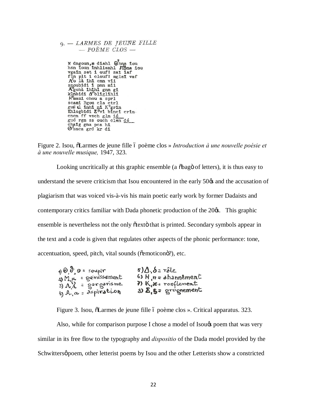|  | 9. - LARMES DE JEUNE FILLE |  |  |  |  |
|--|----------------------------|--|--|--|--|
|  |                            |  |  |  |  |

M dngoun,m diahl @hna fou hsn foun inhlianhl fipna iou nsn Ioun Inniianni Jipna Ioun<br>Vgain set i ouf!sailef<br>Tin plt i clouf! mglaf vaf<br>A'o là ihi cnn vii<br>snoubidi i pnn mii<br>A'gohà ihihi gnn gi<br>klinbidi A'bliglihli H<sup>e</sup>mami chou a sprl scami Bgou cla ctrl<br>gue el înhi ni K'grin<br>Khlogbidi E<sup>3</sup>vi binci crînchen ff vsch gln ié<br>gué rgn ss ouch clen dé chafg gna pca hi<br>
@'snca grd kr di

Figure 2. Isou,  $\tilde{o}$ Larmes de jeune fille ó poème clos » *Introduction à une nouvelle poésie et à une nouvelle musique,* 1947, 323.

Looking uncritically at this graphic ensemble (a  $\delta$ bago of letters), it is thus easy to understand the severe criticism that Isou encountered in the early  $50\%$  and the accusation of plagiarism that was voiced vis-à-vis his main poetic early work by former Dadaists and contemporary critics familiar with Dada phonetic production of the 20 $\alpha$ . This graphic ensemble is nevertheless not the only  $\tilde{\sigma}$  otext $\tilde{\sigma}$  that is printed. Secondary symbols appear in the text and a code is given that regulates other aspects of the phonic performance: tone, accentuation, speed, pitch, vital sounds ( $\tilde{\alpha}$ emoticon $\tilde{\alpha}$ ?), etc.

| $\theta$ , $\theta$ , $\theta$ = soupir | $\delta$ ) $\Delta$ , $\delta$ = ra $\delta$ le  |
|-----------------------------------------|--------------------------------------------------|
| = oemissement<br>$2)$ $M_{\odot}$       | $6$ ) H <sub>, <math>n =</math></sub> ahannement |
| $3)$ $\Lambda$ $\Lambda$ = gargarisme   | 7) K, ronflement                                 |
| $4)$ A, $\alpha$ = aspiration           | 8) & S = grognement                              |

Figure 3. Isou,  $\delta$ Larmes de jeune fille ó poème clos ». Critical apparatus. 323.

Also, while for comparison purpose I chose a model of Isou $\alpha$  poem that was very similar in its free flow to the typography and *dispositio* of the Dada model provided by the Schwittersø poem, other letterist poems by Isou and the other Letterists show a constricted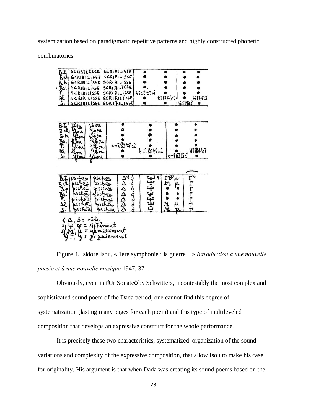systemization based on paradigmatic repetitive patterns and highly constructed phonetic

combinatorics:

| SCRIBILISSE<br>Hodine Si<br>SCRIBILISSE<br><b>GLRIBILISSE</b><br>SCRIBILISSE<br>SCRIBILISSE<br>SCRIBILISSE          | SCRIBILISSE SCRIBILISSE                                                                     | SCRIBILISSE<br>SCRIBILISSE<br>SCRIBILISSE<br>SCRIBILISSE<br>SCRIBILISSE<br>SCRIBILISSE | hicitia        | tibilici                     | <b>Hillia</b><br>hicitiei |
|---------------------------------------------------------------------------------------------------------------------|---------------------------------------------------------------------------------------------|----------------------------------------------------------------------------------------|----------------|------------------------------|---------------------------|
| 43 A.<br>20 A. A. 20 A.                                                                                             | 6 ou<br>bou<br>Ibru<br>bou<br>bou<br>lb ou                                                  | eristtia                                                                               | blîkîtîcî<br>ø | cributici                    | <b>WildHich</b>           |
| pschou<br>oschou<br>उँ कै∡के थे ज<br>chou<br>chou<br>schóu<br>$ch\bar{a}$<br>bschou<br>4)<br>۵<br>ا باقلع<br>Ψ<br>ü | Pschou<br>pschou<br>schou<br>pschou<br>schou<br>pschou<br>vile<br>sifflement<br>Le zaiement | ल्ववददय<br>१९९१९<br>issement                                                           | ንንታ ን ን ን ን ን  | $\frac{1}{2}$<br>u<br>M<br>u | תֲרוּרוּרדן               |

Figure 4. Isidore Isou, « 1ere symphonie : la guerre » *Introduction à une nouvelle poésie et à une nouvelle musique* 1947, 371.

Obviously, even in  $\delta Ur$  Sonate by Schwitters, incontestably the most complex and sophisticated sound poem of the Dada period, one cannot find this degree of systematization (lasting many pages for each poem) and this type of multileveled composition that develops an expressive construct for the whole performance.

It is precisely these two characteristics, systematized organization of the sound variations and complexity of the expressive composition, that allow Isou to make his case for originality. His argument is that when Dada was creating its sound poems based on the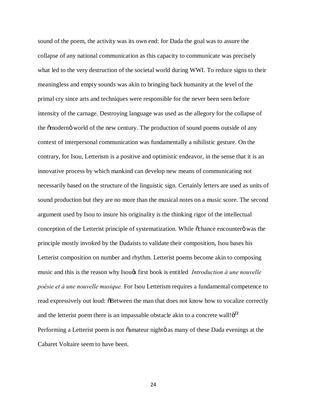sound of the poem, the activity was its own end: for Dada the goal was to assure the collapse of any national communication as this capacity to communicate was precisely what led to the very destruction of the societal world during WWI. To reduce signs to their meaningless and empty sounds was akin to bringing back humanity at the level of the primal cry since arts and techniques were responsible for the never been seen before intensity of the carnage. Destroying language was used as the allegory for the collapse of the  $\tilde{\text{omodern}}$  world of the new century. The production of sound poems outside of any context of interpersonal communication was fundamentally a nihilistic gesture. On the contrary, for Isou, Letterism is a positive and optimistic endeavor, in the sense that it is an innovative process by which mankind can develop new means of communicating not necessarily based on the structure of the linguistic sign. Certainly letters are used as units of sound production but they are no more than the musical notes on a music score. The second argument used by Isou to insure his originality is the thinking rigor of the intellectual conception of the Letterist principle of systematization. While  $\tilde{\text{c}}$  chance encounter was the principle mostly invoked by the Dadaists to validate their composition, Isou bases his Letterist composition on number and rhythm. Letterist poems become akin to composing music and this is the reason why Isougs first book is entitled *Introduction à une nouvelle poésie et à une nouvelle musique.* For Isou Letterism requires a fundamental competence to read expressively out loud:  $\delta$ Between the man that does not know how to vocalize correctly and the letterist poem there is an impassable obstacle akin to a concrete wall! $\ddot{o}^{22}$ Performing a Letterist poem is not  $\ddot{\text{o}}$ amateur nightö as many of these Dada evenings at the Cabaret Voltaire seem to have been.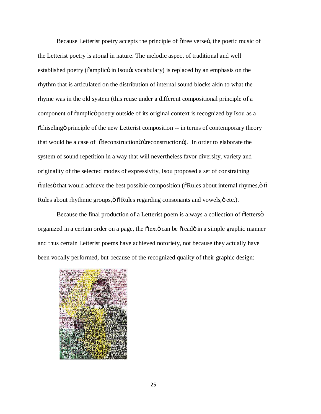Because Letterist poetry accepts the principle of ofree verseo, the poetic music of the Letterist poetry is atonal in nature. The melodic aspect of traditional and well established poetry ( $\delta$ amplic $\ddot{\sigma}$  in Isou $\alpha$  vocabulary) is replaced by an emphasis on the rhythm that is articulated on the distribution of internal sound blocks akin to what the rhyme was in the old system (this reuse under a different compositional principle of a component of  $\tilde{\alpha}$ mplic $\tilde{\beta}$  poetry outside of its original context is recognized by Isou as a  $\tilde{\text{c}}$ chiseling principle of the new Letterist composition -- in terms of contemporary theory that would be a case of  $\tilde{\alpha}$  deconstruction  $\tilde{\alpha}$  /  $\tilde{\alpha}$  /  $\tilde{\alpha}$  /  $\tilde{\alpha}$  /  $\tilde{\alpha}$  /  $\tilde{\alpha}$  /  $\tilde{\alpha}$  /  $\tilde{\alpha}$  /  $\tilde{\alpha}$  /  $\tilde{\alpha}$  /  $\tilde{\alpha}$  /  $\tilde{\alpha}$  /  $\tilde{\alpha}$  /  $\tilde{\alpha}$  /  $\tilde{\alpha}$  /  $\tilde{\alpha}$  system of sound repetition in a way that will nevertheless favor diversity, variety and originality of the selected modes of expressivity, Isou proposed a set of constraining  $\tilde{\sigma}$  orules that would achieve the best possible composition ( $\tilde{\sigma}$ Rules about internal rhymes, $\tilde{\sigma}$ Rules about rhythmic groups,  $\ddot{\text{o}}$  Rules regarding consonants and vowels,  $\ddot{\text{o}}$  etc.).

Because the final production of a Letterist poem is always a collection of  $\ddot{\text{o}}$  letters $\ddot{\text{o}}$ organized in a certain order on a page, the  $\delta$ text $\delta$  can be  $\delta$ read $\delta$  in a simple graphic manner and thus certain Letterist poems have achieved notoriety, not because they actually have been vocally performed, but because of the recognized quality of their graphic design:

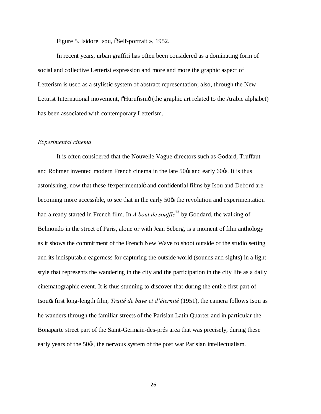Figure 5. Isidore Isou,  $\delta$ Self-portrait », 1952.

In recent years, urban graffiti has often been considered as a dominating form of social and collective Letterist expression and more and more the graphic aspect of Letterism is used as a stylistic system of abstract representation; also, through the New Lettrist International movement,  $\delta$ Hurufismo (the graphic art related to the Arabic alphabet) has been associated with contemporary Letterism.

#### *Experimental cinema*

 It is often considered that the Nouvelle Vague directors such as Godard, Truffaut and Rohmer invented modern French cinema in the late  $50\%$  and early  $60\%$ . It is thus astonishing, now that these  $\tilde{\text{e}}$  experimental and confidential films by Isou and Debord are becoming more accessible, to see that in the early 50 $\alpha$  the revolution and experimentation had already started in French film. In *A bout de souffle***<sup>23</sup>** by Goddard, the walking of Belmondo in the street of Paris, alone or with Jean Seberg, is a moment of film anthology as it shows the commitment of the French New Wave to shoot outside of the studio setting and its indisputable eagerness for capturing the outside world (sounds and sights) in a light style that represents the wandering in the city and the participation in the city life as a daily cinematographic event. It is thus stunning to discover that during the entire first part of Isou's first long-length film, *Traité de bave et d'éternité* (1951), the camera follows Isou as he wanders through the familiar streets of the Parisian Latin Quarter and in particular the Bonaparte street part of the Saint-Germain-des-prés area that was precisely, during these early years of the 50 $\alpha$ , the nervous system of the post war Parisian intellectualism.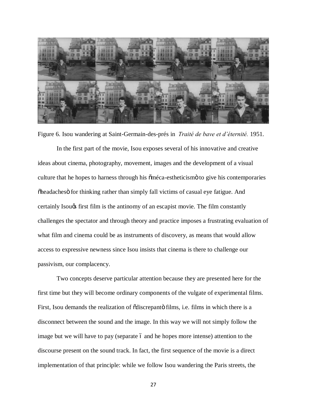

Figure 6. Isou wandering at Saint-Germain-des-prés in *Traité de bave et d'éternité.* 1951.

In the first part of the movie, Isou exposes several of his innovative and creative ideas about cinema, photography, movement, images and the development of a visual culture that he hopes to harness through his  $\tilde{\text{om}}$  eca-estheticism to give his contemporaries  $\delta$ headaches for thinking rather than simply fall victims of casual eye fatigue. And certainly Isou<sub>g</sub> first film is the antinomy of an escapist movie. The film constantly challenges the spectator and through theory and practice imposes a frustrating evaluation of what film and cinema could be as instruments of discovery, as means that would allow access to expressive newness since Isou insists that cinema is there to challenge our passivism, our complacency.

Two concepts deserve particular attention because they are presented here for the first time but they will become ordinary components of the vulgate of experimental films. First, Isou demands the realization of  $\tilde{c}$ discrepanto films, i.e. films in which there is a disconnect between the sound and the image. In this way we will not simply follow the image but we will have to pay (separate 6 and he hopes more intense) attention to the discourse present on the sound track. In fact, the first sequence of the movie is a direct implementation of that principle: while we follow Isou wandering the Paris streets, the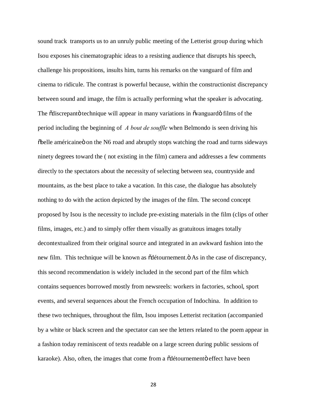sound track transports us to an unruly public meeting of the Letterist group during which Isou exposes his cinematographic ideas to a resisting audience that disrupts his speech, challenge his propositions, insults him, turns his remarks on the vanguard of film and cinema to ridicule. The contrast is powerful because, within the constructionist discrepancy between sound and image, the film is actually performing what the speaker is advocating. The  $\tilde{\text{od}}$  iscrepant is technique will appear in many variations in  $\tilde{\text{ov}}$  is  $\tilde{\text{ov}}$  films of the period including the beginning of *A bout de souffle* when Belmondo is seen driving his  $\delta$ belle américaine on the N6 road and abruptly stops watching the road and turns sideways ninety degrees toward the ( not existing in the film) camera and addresses a few comments directly to the spectators about the necessity of selecting between sea, countryside and mountains, as the best place to take a vacation. In this case, the dialogue has absolutely nothing to do with the action depicted by the images of the film. The second concept proposed by Isou is the necessity to include pre-existing materials in the film (clips of other films, images, etc.) and to simply offer them visually as gratuitous images totally decontextualized from their original source and integrated in an awkward fashion into the new film. This technique will be known as  $\delta$ détournement. $\delta$  As in the case of discrepancy, this second recommendation is widely included in the second part of the film which contains sequences borrowed mostly from newsreels: workers in factories, school, sport events, and several sequences about the French occupation of Indochina. In addition to these two techniques, throughout the film, Isou imposes Letterist recitation (accompanied by a white or black screen and the spectator can see the letters related to the poem appear in a fashion today reminiscent of texts readable on a large screen during public sessions of karaoke). Also, often, the images that come from a  $\ddot{\text{d}}$  détournemento effect have been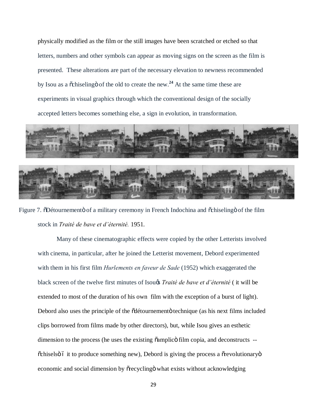physically modified as the film or the still images have been scratched or etched so that letters, numbers and other symbols can appear as moving signs on the screen as the film is presented. These alterations are part of the necessary elevation to newness recommended by Isou as a  $\tilde{\text{o}}$ chiseling  $\tilde{\text{o}}$  of the old to create the new.<sup>24</sup> At the same time these are experiments in visual graphics through which the conventional design of the socially accepted letters becomes something else, a sign in evolution, in transformation.



Figure 7.  $\delta$ Détournemento of a military ceremony in French Indochina and  $\delta$ chiseling of the film stock in *Traité de bave et d'éternité.* 1951.

Many of these cinematographic effects were copied by the other Letterists involved with cinema, in particular, after he joined the Letterist movement, Debord experimented with them in his first film *Hurlements en faveur de Sade* (1952) which exaggerated the black screen of the twelve first minutes of Isou's *Traité de bave et d'éternité* ( it will be extended to most of the duration of his own film with the exception of a burst of light). Debord also uses the principle of the  $\ddot{\text{o}}$ détournementö technique (as his next films included clips borrowed from films made by other directors), but, while Isou gives an esthetic dimension to the process (he uses the existing  $\tilde{\text{o}}$ amplic $\tilde{\text{o}}$  film copia, and deconstructs -- $\tilde{\text{c}}$ chiselsö ó it to produce something new), Debord is giving the process a  $\tilde{\text{c}}$  revolutionaryo economic and social dimension by  $\tilde{\sigma}$  recycling what exists without acknowledging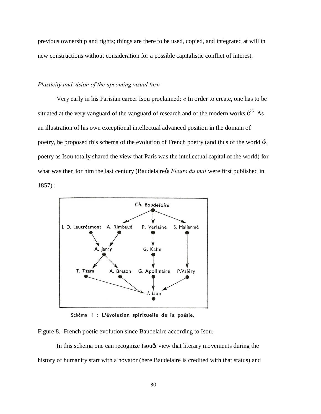previous ownership and rights; things are there to be used, copied, and integrated at will in new constructions without consideration for a possible capitalistic conflict of interest.

# *Plasticity and vision of the upcoming visual turn*

Very early in his Parisian career Isou proclaimed: « In order to create, one has to be situated at the very vanguard of the vanguard of research and of the modern works. $\ddot{\text{o}}^{25}$  As an illustration of his own exceptional intellectual advanced position in the domain of poetry, he proposed this schema of the evolution of French poetry (and thus of the world 's poetry as Isou totally shared the view that Paris was the intellectual capital of the world) for what was then for him the last century (Baudelaire *S Fleurs du mal* were first published in 1857) :



Schèma | : L'évolution spirituelle de la poésie.

Figure 8. French poetic evolution since Baudelaire according to Isou.

In this schema one can recognize Isou $\alpha$  view that literary movements during the history of humanity start with a novator (here Baudelaire is credited with that status) and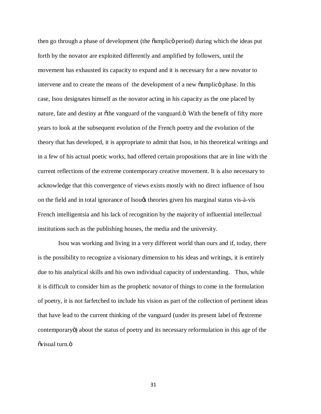then go through a phase of development (the  $\ddot{\text{o}}$ amplic $\ddot{\text{o}}$  period) during which the ideas put forth by the novator are exploited differently and amplified by followers, until the movement has exhausted its capacity to expand and it is necessary for a new novator to intervene and to create the means of the development of a new  $\ddot{\text{o}}$  amplic  $\ddot{\text{o}}$  phase. In this case, Isou designates himself as the novator acting in his capacity as the one placed by nature, fate and destiny at othe vanguard of the vanguard. $\ddot{\text{o}}$  With the benefit of fifty more years to look at the subsequent evolution of the French poetry and the evolution of the theory that has developed, it is appropriate to admit that Isou, in his theoretical writings and in a few of his actual poetic works, had offered certain propositions that are in line with the current reflections of the extreme contemporary creative movement. It is also necessary to acknowledge that this convergence of views exists mostly with no direct influence of Isou on the field and in total ignorance of Isou $\alpha$  theories given his marginal status vis-à-vis French intelligentsia and his lack of recognition by the majority of influential intellectual institutions such as the publishing houses, the media and the university.

 Isou was working and living in a very different world than ours and if, today, there is the possibility to recognize a visionary dimension to his ideas and writings, it is entirely due to his analytical skills and his own individual capacity of understanding. Thus, while it is difficult to consider him as the prophetic novator of things to come in the formulation of poetry, it is not farfetched to include his vision as part of the collection of pertinent ideas that have lead to the current thinking of the vanguard (under its present label of "extreme contemporary") about the status of poetry and its necessary reformulation in this age of the õvisual turn. ö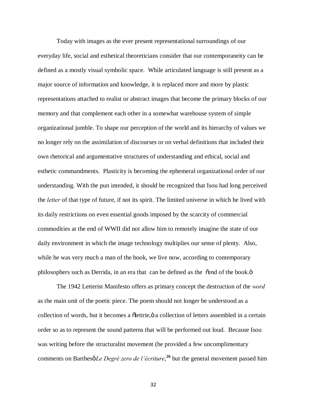Today with images as the ever present representational surroundings of our everyday life, social and esthetical theoreticians consider that our contemporaneity can be defined as a mostly visual symbolic space. While articulated language is still present as a major source of information and knowledge, it is replaced more and more by plastic representations attached to realist or abstract images that become the primary blocks of our memory and that complement each other in a somewhat warehouse system of simple organizational jumble. To shape our perception of the world and its hierarchy of values we no longer rely on the assimilation of discourses or on verbal definitions that included their own rhetorical and argumentative structures of understanding and ethical, social and esthetic commandments. Plasticity is becoming the ephemeral organizational order of our understanding. With the pun intended, it should be recognized that Isou had long perceived the *letter* of that type of future, if not its spirit. The limited universe in which he lived with its daily restrictions on even essential goods imposed by the scarcity of commercial commodities at the end of WWII did not allow him to remotely imagine the state of our daily environment in which the image technology multiplies our sense of plenty. Also, while he was very much a man of the book, we live now, according to contemporary philosophers such as Derrida, in an era that can be defined as the  $\tilde{\text{e}}$  end of the book. $\ddot{\text{o}}$ 

The 1942 Letterist Manifesto offers as primary concept the destruction of the *word* as the main unit of the poetic piece. The poem should not longer be understood as a collection of words, but it becomes a  $\delta$  dettrie,  $\delta$  a collection of letters assembled in a certain order so as to represent the sound patterns that will be performed out loud. Because Isou was writing before the structuralist movement (he provided a few uncomplimentary comments on Barthesø*Le Degré zero de l'écriture*,<sup>26</sup> but the general movement passed him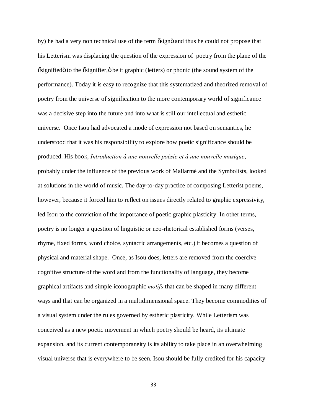by) he had a very non technical use of the term  $\delta$ sign $\ddot{\delta}$  and thus he could not propose that his Letterism was displacing the question of the expression of poetry from the plane of the  $\tilde{\text{e}}$  signified to the  $\tilde{\text{e}}$  signifier,  $\ddot{\text{o}}$  be it graphic (letters) or phonic (the sound system of the performance). Today it is easy to recognize that this systematized and theorized removal of poetry from the universe of signification to the more contemporary world of significance was a decisive step into the future and into what is still our intellectual and esthetic universe. Once Isou had advocated a mode of expression not based on semantics, he understood that it was his responsibility to explore how poetic significance should be produced. His book, *Introduction à une nouvelle poésie et à une nouvelle musique*, probably under the influence of the previous work of Mallarmé and the Symbolists, looked at solutions in the world of music. The day-to-day practice of composing Letterist poems, however, because it forced him to reflect on issues directly related to graphic expressivity, led Isou to the conviction of the importance of poetic graphic plasticity. In other terms, poetry is no longer a question of linguistic or neo-rhetorical established forms (verses, rhyme, fixed forms, word choice, syntactic arrangements, etc.) it becomes a question of physical and material shape. Once, as Isou does, letters are removed from the coercive cognitive structure of the word and from the functionality of language, they become graphical artifacts and simple iconographic *motifs* that can be shaped in many different ways and that can be organized in a multidimensional space. They become commodities of a visual system under the rules governed by esthetic plasticity. While Letterism was conceived as a new poetic movement in which poetry should be heard, its ultimate expansion, and its current contemporaneity is its ability to take place in an overwhelming visual universe that is everywhere to be seen. Isou should be fully credited for his capacity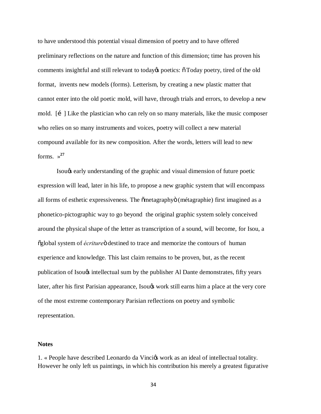to have understood this potential visual dimension of poetry and to have offered preliminary reflections on the nature and function of this dimension; time has proven his comments insightful and still relevant to today to poetics:  $\tilde{\sigma}$  Today poetry, tired of the old format, invents new models (forms). Letterism, by creating a new plastic matter that cannot enter into the old poetic mold, will have, through trials and errors, to develop a new mold.  $\begin{bmatrix} i \\ \end{bmatrix}$  Like the plastician who can rely on so many materials, like the music composer who relies on so many instruments and voices, poetry will collect a new material compound available for its new composition. After the words, letters will lead to new forms.  $\frac{27}{2}$ 

Isou's early understanding of the graphic and visual dimension of future poetic expression will lead, later in his life, to propose a new graphic system that will encompass all forms of esthetic expressiveness. The  $\tilde{\text{em}tagger}$  (métagraphie) first imagined as a phonetico-pictographic way to go beyond the original graphic system solely conceived around the physical shape of the letter as transcription of a sound, will become, for Isou, a  $\tilde{\text{og}}$ lobal system of *écriture* destined to trace and memorize the contours of human experience and knowledge. This last claim remains to be proven, but, as the recent publication of Isou $\alpha$  intellectual sum by the publisher Al Dante demonstrates, fifty years later, after his first Parisian appearance, Isou $\alpha$  work still earns him a place at the very core of the most extreme contemporary Parisian reflections on poetry and symbolic representation.

## **Notes**

1. « People have described Leonardo da Vincios work as an ideal of intellectual totality. However he only left us paintings, in which his contribution his merely a greatest figurative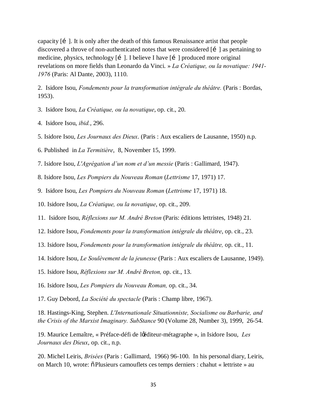capacity  $\begin{bmatrix} i \\ \end{bmatrix}$ . It is only after the death of this famous Renaissance artist that people discovered a throve of non-authenticated notes that were considered  $\begin{bmatrix} i \\ i \end{bmatrix}$  as pertaining to medicine, physics, technology [i]. I believe I have [i] produced more original revelations on more fields than Leonardo da Vinci. » *La Créatique, ou la novatique: 1941- 1976* (Paris: Al Dante, 2003), 1110.

2. Isidore Isou, *Fondements pour la transformation intégrale du théâtre.* (Paris : Bordas, 1953).

- 3. Isidore Isou, *La Créatique, ou la novatique*, op. cit., 20.
- 4. Isidore Isou, *ibid.*, 296.
- 5. Isidore Isou, *Les Journaux des Dieux*. (Paris : Aux escaliers de Lausanne, 1950) n.p.
- 6. Published in *La Termitière*, 8, November 15, 1999.
- 7. Isidore Isou, *L'Agrégation d'un nom et d'un messie* (Paris : Gallimard, 1947).
- 8. Isidore Isou, *Les Pompiers du Nouveau Roman* (*Lettrisme* 17, 1971) 17.
- 9. Isidore Isou, *Les Pompiers du Nouveau Roman* (*Lettrisme* 17, 1971) 18.
- 10. Isidore Isou, *La Créatique, ou la novatique*, op. cit., 209.
- 11. Isidore Isou, *Réflexions sur M. André Breton* (Paris: éditions lettristes, 1948) 21.
- 12. Isidore Isou, *Fondements pour la transformation intégrale du théâtre*, op. cit., 23.
- 13. Isidore Isou, *Fondements pour la transformation intégrale du théâtre,* op. cit., 11.
- 14. Isidore Isou, *Le Soulèvement de la jeunesse* (Paris : Aux escaliers de Lausanne, 1949).
- 15. Isidore Isou, *Réflexions sur M. André Breton,* op. cit., 13.
- 16. Isidore Isou, *Les Pompiers du Nouveau Roman,* op. cit., 34.
- 17. Guy Debord, *La Société du spectacle* (Paris : Champ libre, 1967).

18. Hastings-King, Stephen. *L'Internationale Situationniste, Socialisme ou Barbarie, and the Crisis of the Marxist Imaginary. SubStance* 90 (Volume 28, Number 3), 1999, 26-54.

19. Maurice Lemaître, « Préface-défi de l'éditeur-métagraphe », in Isidore Isou, *Les Journaux des Dieux*, op. cit., n.p.

20. Michel Leiris, *Brisées* (Paris : Gallimard, 1966) 96-100. In his personal diary, Leiris, on March 10, wrote:  $\ddot{\text{o}}$  Plusieurs camouflets ces temps derniers : chahut « lettriste » au